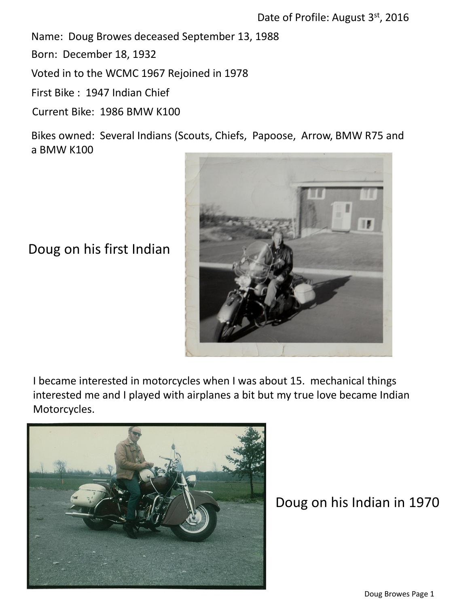Name: Doug Browes deceased September 13, 1988

Born: December 18, 1932

Voted in to the WCMC 1967 Rejoined in 1978

First Bike : 1947 Indian Chief

Current Bike: 1986 BMW K100

Bikes owned: Several Indians (Scouts, Chiefs, Papoose, Arrow, BMW R75 and a BMW K100



Doug on his first Indian

I became interested in motorcycles when I was about 15. mechanical things interested me and I played with airplanes a bit but my true love became Indian Motorcycles.



Doug on his Indian in 1970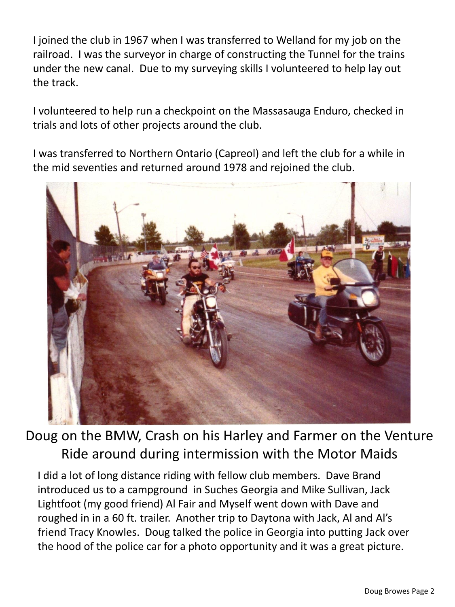I joined the club in 1967 when I was transferred to Welland for my job on the railroad. I was the surveyor in charge of constructing the Tunnel for the trains under the new canal. Due to my surveying skills I volunteered to help lay out the track.

I volunteered to help run a checkpoint on the Massasauga Enduro, checked in trials and lots of other projects around the club.

I was transferred to Northern Ontario (Capreol) and left the club for a while in the mid seventies and returned around 1978 and rejoined the club.



Doug on the BMW, Crash on his Harley and Farmer on the Venture Ride around during intermission with the Motor Maids

I did a lot of long distance riding with fellow club members. Dave Brand introduced us to a campground in Suches Georgia and Mike Sullivan, Jack Lightfoot (my good friend) Al Fair and Myself went down with Dave and roughed in in a 60 ft. trailer. Another trip to Daytona with Jack, Al and Al's friend Tracy Knowles. Doug talked the police in Georgia into putting Jack over the hood of the police car for a photo opportunity and it was a great picture.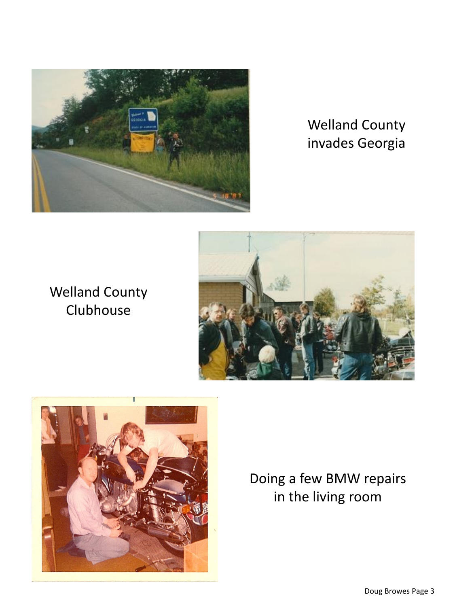

## Welland County invades Georgia

## Welland County Clubhouse





Doing a few BMW repairs in the living room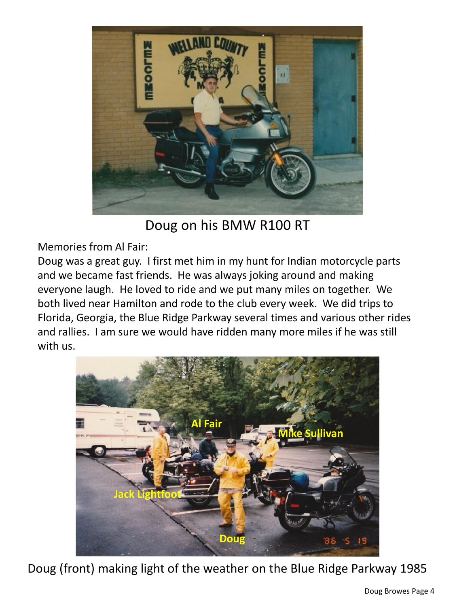

Doug on his BMW R100 RT

Memories from Al Fair:

Doug was a great guy. I first met him in my hunt for Indian motorcycle parts and we became fast friends. He was always joking around and making everyone laugh. He loved to ride and we put many miles on together. We both lived near Hamilton and rode to the club every week. We did trips to Florida, Georgia, the Blue Ridge Parkway several times and various other rides and rallies. I am sure we would have ridden many more miles if he was still with us.



Doug (front) making light of the weather on the Blue Ridge Parkway 1985